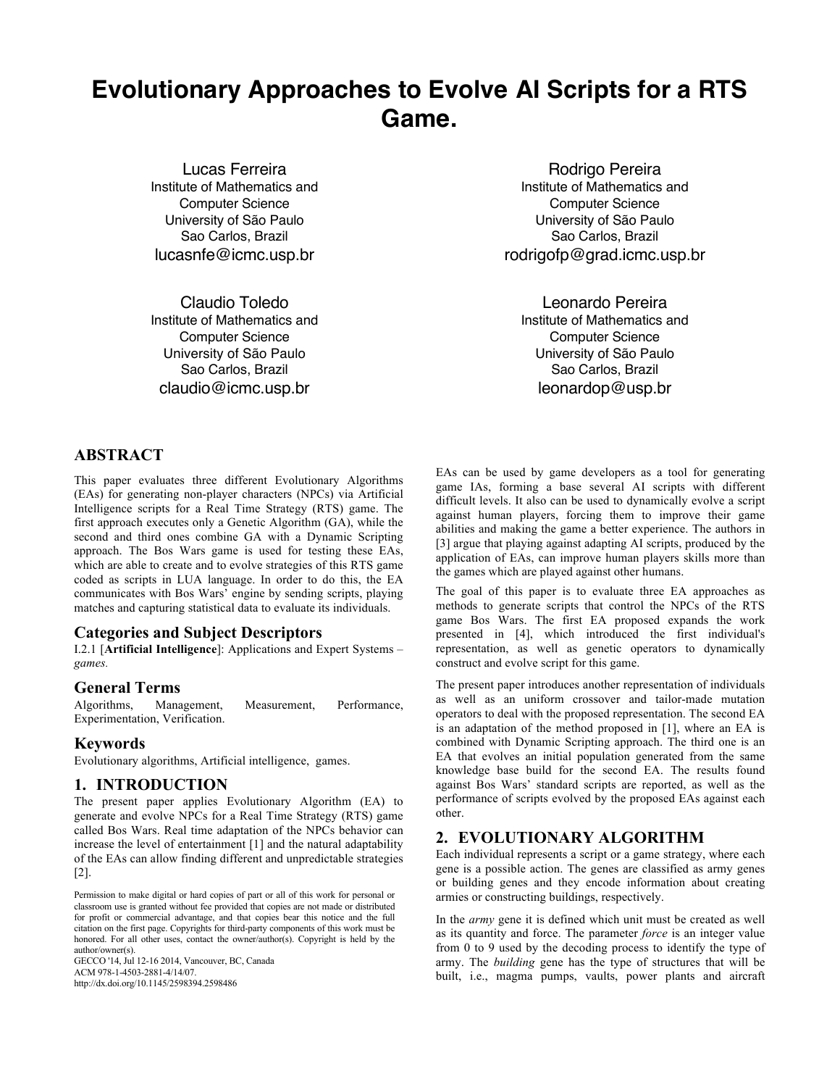# **Evolutionary Approaches to Evolve AI Scripts for a RTS Game.**

Lucas Ferreira Institute of Mathematics and Computer Science University of São Paulo Sao Carlos, Brazil lucasnfe@icmc.usp.br

Claudio Toledo Institute of Mathematics and Computer Science University of São Paulo Sao Carlos, Brazil claudio@icmc.usp.br

Rodrigo Pereira Institute of Mathematics and Computer Science University of São Paulo Sao Carlos, Brazil rodrigofp@grad.icmc.usp.br

Leonardo Pereira Institute of Mathematics and Computer Science University of São Paulo Sao Carlos, Brazil leonardop@usp.br

# **ABSTRACT**

This paper evaluates three different Evolutionary Algorithms (EAs) for generating non-player characters (NPCs) via Artificial Intelligence scripts for a Real Time Strategy (RTS) game. The first approach executes only a Genetic Algorithm (GA), while the second and third ones combine GA with a Dynamic Scripting approach. The Bos Wars game is used for testing these EAs, which are able to create and to evolve strategies of this RTS game coded as scripts in LUA language. In order to do this, the EA communicates with Bos Wars' engine by sending scripts, playing matches and capturing statistical data to evaluate its individuals.

## **Categories and Subject Descriptors**

I.2.1 [**Artificial Intelligence**]: Applications and Expert Systems – *games.* 

## **General Terms**

Algorithms, Management, Measurement, Performance, Experimentation, Verification.

## **Keywords**

Evolutionary algorithms, Artificial intelligence, games.

## **1. INTRODUCTION**

The present paper applies Evolutionary Algorithm (EA) to generate and evolve NPCs for a Real Time Strategy (RTS) game called Bos Wars. Real time adaptation of the NPCs behavior can increase the level of entertainment [1] and the natural adaptability of the EAs can allow finding different and unpredictable strategies [2].

Permission to make digital or hard copies of part or all of this work for personal or classroom use is granted without fee provided that copies are not made or distributed for profit or commercial advantage, and that copies bear this notice and the full citation on the first page. Copyrights for third-party components of this work must be honored. For all other uses, contact the owner/author(s). Copyright is held by the author/owner(s).

GECCO '14, Jul 12-16 2014, Vancouver, BC, Canada ACM 978-1-4503-2881-4/14/07. http://dx.doi.org/10.1145/2598394.2598486

EAs can be used by game developers as a tool for generating game IAs, forming a base several AI scripts with different difficult levels. It also can be used to dynamically evolve a script against human players, forcing them to improve their game abilities and making the game a better experience. The authors in [3] argue that playing against adapting AI scripts, produced by the application of EAs, can improve human players skills more than the games which are played against other humans.

The goal of this paper is to evaluate three EA approaches as methods to generate scripts that control the NPCs of the RTS game Bos Wars. The first EA proposed expands the work presented in [4], which introduced the first individual's representation, as well as genetic operators to dynamically construct and evolve script for this game.

The present paper introduces another representation of individuals as well as an uniform crossover and tailor-made mutation operators to deal with the proposed representation. The second EA is an adaptation of the method proposed in [1], where an EA is combined with Dynamic Scripting approach. The third one is an EA that evolves an initial population generated from the same knowledge base build for the second EA. The results found against Bos Wars' standard scripts are reported, as well as the performance of scripts evolved by the proposed EAs against each other.

# **2. EVOLUTIONARY ALGORITHM**

Each individual represents a script or a game strategy, where each gene is a possible action. The genes are classified as army genes or building genes and they encode information about creating armies or constructing buildings, respectively.

In the *army* gene it is defined which unit must be created as well as its quantity and force. The parameter *force* is an integer value from 0 to 9 used by the decoding process to identify the type of army. The *building* gene has the type of structures that will be built, i.e., magma pumps, vaults, power plants and aircraft